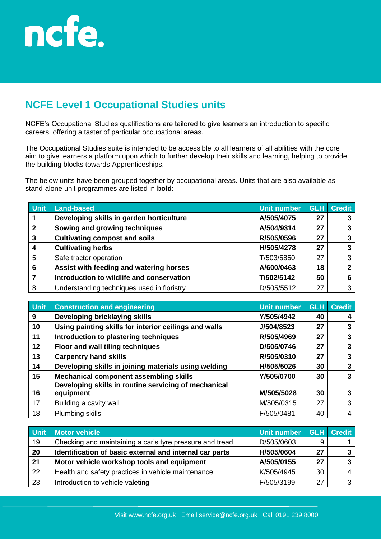

## **NCFE Level 1 Occupational Studies units**

NCFE's Occupational Studies qualifications are tailored to give learners an introduction to specific careers, offering a taster of particular occupational areas.

The Occupational Studies suite is intended to be accessible to all learners of all abilities with the core aim to give learners a platform upon which to further develop their skills and learning, helping to provide the building blocks towards Apprenticeships.

The below units have been grouped together by occupational areas. Units that are also available as stand-alone unit programmes are listed in **bold**:

| <b>Unit</b>  | <b>Land-based</b>                          | <b>Unit number</b> | <b>GLH</b> | <b>Credit</b> |
|--------------|--------------------------------------------|--------------------|------------|---------------|
|              | Developing skills in garden horticulture   | A/505/4075         | 27         |               |
| $\mathbf{2}$ | Sowing and growing techniques              | A/504/9314         | 27         |               |
| 3            | <b>Cultivating compost and soils</b>       | R/505/0596         | 27         | 3             |
| 4            | <b>Cultivating herbs</b>                   | H/505/4278         | 27         |               |
| 5            | Safe tractor operation                     | T/503/5850         | 27         | 3             |
| 6            | Assist with feeding and watering horses    | A/600/0463         | 18         | 2             |
|              | Introduction to wildlife and conservation  | T/502/5142         | 50         | 6             |
| 8            | Understanding techniques used in floristry | D/505/5512         | 27         | 3             |

| Unit | <b>Construction and engineering</b>                   | <b>Unit number</b> | <b>GLH</b> | <b>Credit</b> |
|------|-------------------------------------------------------|--------------------|------------|---------------|
| 9    | Developing bricklaying skills                         | Y/505/4942         | 40         |               |
| 10   | Using painting skills for interior ceilings and walls | J/504/8523         | 27         | 3             |
| 11   | Introduction to plastering techniques                 | R/505/4969         | 27         | 3             |
| 12   | Floor and wall tiling techniques                      | D/505/0746         | 27         | 3             |
| 13   | <b>Carpentry hand skills</b>                          | R/505/0310         | 27         | 3             |
| 14   | Developing skills in joining materials using welding  | H/505/5026         | 30         | 3             |
| 15   | <b>Mechanical component assembling skills</b>         | Y/505/0700         | 30         | 3             |
|      | Developing skills in routine servicing of mechanical  |                    |            |               |
| 16   | equipment                                             | M/505/5028         | 30         | 3             |
| 17   | Building a cavity wall                                | M/505/0315         | 27         | 3             |
| 18   | Plumbing skills                                       | F/505/0481         | 40         | 4             |

| <b>Unit</b> | <b>Motor vehicle</b>                                     | Unit number GLH Credit |    |                |
|-------------|----------------------------------------------------------|------------------------|----|----------------|
| 19          | Checking and maintaining a car's tyre pressure and tread | D/505/0603             | 9  |                |
| 20          | Identification of basic external and internal car parts  | H/505/0604             | 27 | 3 <sup>1</sup> |
| 21          | Motor vehicle workshop tools and equipment               | A/505/0155             | 27 | 3 <sup>1</sup> |
| 22          | Health and safety practices in vehicle maintenance       | K/505/4945             | 30 | 4 I            |
| 23          | Introduction to vehicle valeting                         | F/505/3199             | 27 | 3 I            |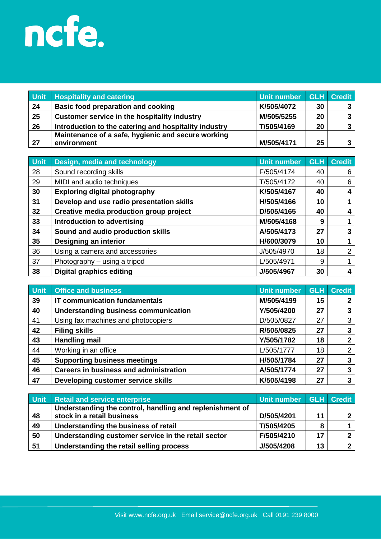

| <b>Unit</b> | <b>Hospitality and catering</b>                       | Unit number |    | GLH Credit |
|-------------|-------------------------------------------------------|-------------|----|------------|
| 24          | <b>Basic food preparation and cooking</b>             | K/505/4072  | 30 |            |
| 25          | Customer service in the hospitality industry          | M/505/5255  | 20 |            |
| 26          | Introduction to the catering and hospitality industry | T/505/4169  | 20 |            |
|             | Maintenance of a safe, hygienic and secure working    |             |    |            |
| 27          | environment                                           | M/505/4171  | 25 |            |

| Unit | Design, media and technology              | <b>Unit number</b> | <b>GLH</b> | <b>Credit</b> |
|------|-------------------------------------------|--------------------|------------|---------------|
| 28   | Sound recording skills                    | F/505/4174         | 40         | 6             |
| 29   | MIDI and audio techniques                 | T/505/4172         | 40         | 6             |
| 30   | <b>Exploring digital photography</b>      | K/505/4167         | 40         | 4             |
| 31   | Develop and use radio presentation skills | H/505/4166         | 10         |               |
| 32   | Creative media production group project   | D/505/4165         | 40         | 4             |
| 33   | Introduction to advertising               | M/505/4168         | 9          |               |
| 34   | Sound and audio production skills         | A/505/4173         | 27         | 3             |
| 35   | Designing an interior                     | H/600/3079         | 10         |               |
| 36   | Using a camera and accessories            | J/505/4970         | 18         | 2             |
| 37   | Photography - using a tripod              | L/505/4971         | 9          |               |
| 38   | <b>Digital graphics editing</b>           | J/505/4967         | 30         |               |

| <b>Unit</b> | <b>Office and business</b>                    | Unit number | <b>GLH</b> | <b>Credit</b> |
|-------------|-----------------------------------------------|-------------|------------|---------------|
| 39          | <b>IT communication fundamentals</b>          | M/505/4199  | 15         |               |
| 40          | <b>Understanding business communication</b>   | Y/505/4200  | 27         | 3             |
| 41          | Using fax machines and photocopiers           | D/505/0827  | 27         | 3             |
| 42          | <b>Filing skills</b>                          | R/505/0825  | 27         | 3             |
| 43          | <b>Handling mail</b>                          | Y/505/1782  | 18         | 2             |
| 44          | Working in an office                          | L/505/1777  | 18         | 2             |
| 45          | <b>Supporting business meetings</b>           | H/505/1784  | 27         | 3             |
| 46          | <b>Careers in business and administration</b> | A/505/1774  | 27         | 3             |
| 47          | Developing customer service skills            | K/505/4198  | 27         | 3             |

| Unit | <b>Retail and service enterprise</b>                     | Unit number GLH Credit |    |   |
|------|----------------------------------------------------------|------------------------|----|---|
|      | Understanding the control, handling and replenishment of |                        |    |   |
| 48   | stock in a retail business                               | D/505/4201             | 11 | ົ |
| 49   | Understanding the business of retail                     | T/505/4205             |    |   |
| 50   | Understanding customer service in the retail sector      | F/505/4210             | 17 |   |
| 51   | Understanding the retail selling process                 | J/505/4208             | 13 |   |